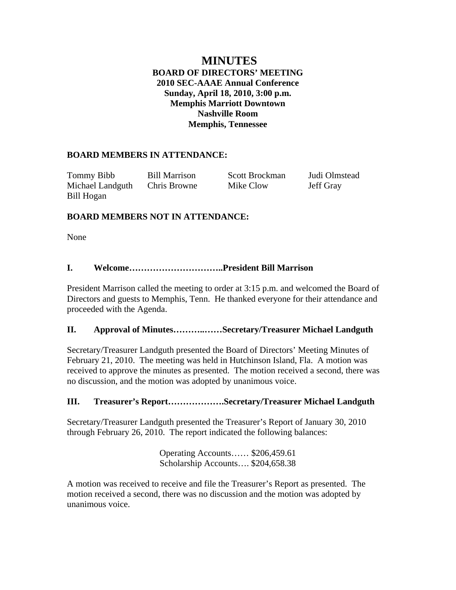# **MINUTES BOARD OF DIRECTORS' MEETING 2010 SEC-AAAE Annual Conference Sunday, April 18, 2010, 3:00 p.m. Memphis Marriott Downtown Nashville Room Memphis, Tennessee**

# **BOARD MEMBERS IN ATTENDANCE:**

Tommy Bibb Bill Marrison Scott Brockman Judi Olmstead Michael Landguth Chris Browne Mike Clow Jeff Gray Bill Hogan

# **BOARD MEMBERS NOT IN ATTENDANCE:**

None

# **I. Welcome…………………………..President Bill Marrison**

President Marrison called the meeting to order at 3:15 p.m. and welcomed the Board of Directors and guests to Memphis, Tenn. He thanked everyone for their attendance and proceeded with the Agenda.

## **II. Approval of Minutes………..……Secretary/Treasurer Michael Landguth**

Secretary/Treasurer Landguth presented the Board of Directors' Meeting Minutes of February 21, 2010. The meeting was held in Hutchinson Island, Fla. A motion was received to approve the minutes as presented. The motion received a second, there was no discussion, and the motion was adopted by unanimous voice.

## **III. Treasurer's Report……………….Secretary/Treasurer Michael Landguth**

Secretary/Treasurer Landguth presented the Treasurer's Report of January 30, 2010 through February 26, 2010. The report indicated the following balances:

> Operating Accounts…… \$206,459.61 Scholarship Accounts…. \$204,658.38

A motion was received to receive and file the Treasurer's Report as presented. The motion received a second, there was no discussion and the motion was adopted by unanimous voice.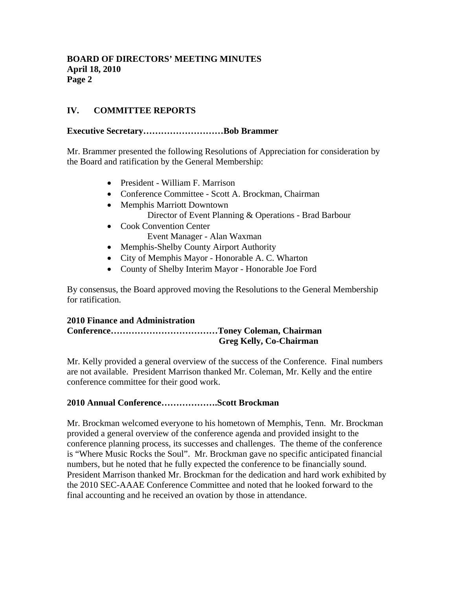# **IV. COMMITTEE REPORTS**

### **Executive Secretary………………………Bob Brammer**

Mr. Brammer presented the following Resolutions of Appreciation for consideration by the Board and ratification by the General Membership:

- President William F. Marrison
- Conference Committee Scott A. Brockman, Chairman
- Memphis Marriott Downtown Director of Event Planning & Operations - Brad Barbour
- Cook Convention Center Event Manager - Alan Waxman
- Memphis-Shelby County Airport Authority
- City of Memphis Mayor Honorable A. C. Wharton
- County of Shelby Interim Mayor Honorable Joe Ford

By consensus, the Board approved moving the Resolutions to the General Membership for ratification.

#### **2010 Finance and Administration Conference………………………………Toney Coleman, Chairman Greg Kelly, Co-Chairman**

Mr. Kelly provided a general overview of the success of the Conference. Final numbers are not available. President Marrison thanked Mr. Coleman, Mr. Kelly and the entire conference committee for their good work.

#### **2010 Annual Conference……………….Scott Brockman**

Mr. Brockman welcomed everyone to his hometown of Memphis, Tenn. Mr. Brockman provided a general overview of the conference agenda and provided insight to the conference planning process, its successes and challenges. The theme of the conference is "Where Music Rocks the Soul". Mr. Brockman gave no specific anticipated financial numbers, but he noted that he fully expected the conference to be financially sound. President Marrison thanked Mr. Brockman for the dedication and hard work exhibited by the 2010 SEC-AAAE Conference Committee and noted that he looked forward to the final accounting and he received an ovation by those in attendance.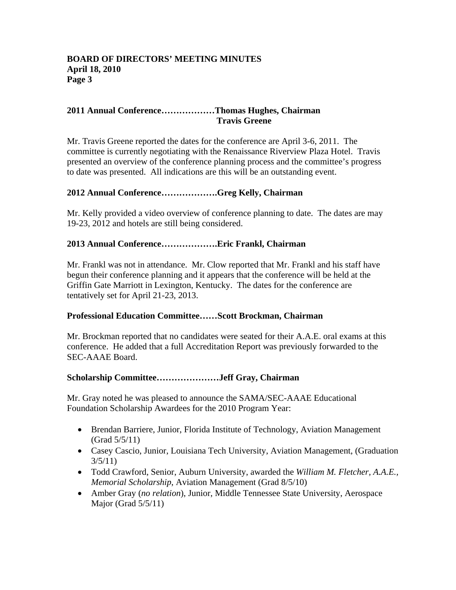### **2011 Annual Conference………………Thomas Hughes, Chairman Travis Greene**

Mr. Travis Greene reported the dates for the conference are April 3-6, 2011. The committee is currently negotiating with the Renaissance Riverview Plaza Hotel. Travis presented an overview of the conference planning process and the committee's progress to date was presented. All indications are this will be an outstanding event.

## **2012 Annual Conference……………….Greg Kelly, Chairman**

Mr. Kelly provided a video overview of conference planning to date. The dates are may 19-23, 2012 and hotels are still being considered.

## **2013 Annual Conference……………….Eric Frankl, Chairman**

Mr. Frankl was not in attendance. Mr. Clow reported that Mr. Frankl and his staff have begun their conference planning and it appears that the conference will be held at the Griffin Gate Marriott in Lexington, Kentucky. The dates for the conference are tentatively set for April 21-23, 2013.

## **Professional Education Committee……Scott Brockman, Chairman**

Mr. Brockman reported that no candidates were seated for their A.A.E. oral exams at this conference. He added that a full Accreditation Report was previously forwarded to the SEC-AAAE Board.

## **Scholarship Committee…………………Jeff Gray, Chairman**

Mr. Gray noted he was pleased to announce the SAMA/SEC-AAAE Educational Foundation Scholarship Awardees for the 2010 Program Year:

- Brendan Barriere, Junior, Florida Institute of Technology, Aviation Management (Grad 5/5/11)
- Casey Cascio, Junior, Louisiana Tech University, Aviation Management, (Graduation  $3/5/11$
- Todd Crawford, Senior, Auburn University, awarded the *William M. Fletcher, A.A.E., Memorial Scholarship*, Aviation Management (Grad 8/5/10)
- Amber Gray (*no relation*), Junior, Middle Tennessee State University, Aerospace Major (Grad 5/5/11)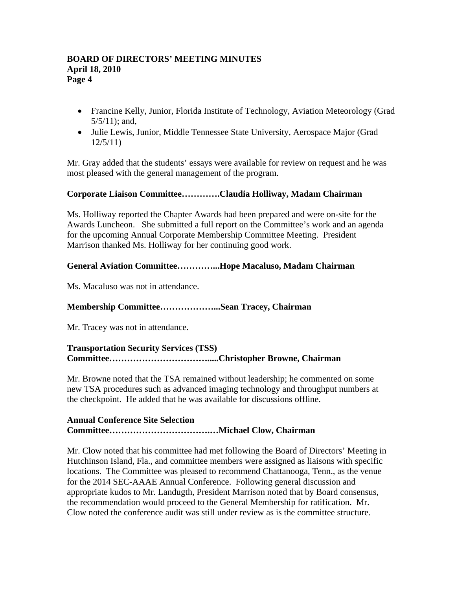- Francine Kelly, Junior, Florida Institute of Technology, Aviation Meteorology (Grad 5/5/11); and,
- Julie Lewis, Junior, Middle Tennessee State University, Aerospace Major (Grad) 12/5/11)

Mr. Gray added that the students' essays were available for review on request and he was most pleased with the general management of the program.

## **Corporate Liaison Committee………….Claudia Holliway, Madam Chairman**

Ms. Holliway reported the Chapter Awards had been prepared and were on-site for the Awards Luncheon. She submitted a full report on the Committee's work and an agenda for the upcoming Annual Corporate Membership Committee Meeting. President Marrison thanked Ms. Holliway for her continuing good work.

### **General Aviation Committee…………...Hope Macaluso, Madam Chairman**

Ms. Macaluso was not in attendance.

## **Membership Committee………………...Sean Tracey, Chairman**

Mr. Tracey was not in attendance.

# **Transportation Security Services (TSS) Committee…………………………….....Christopher Browne, Chairman**

Mr. Browne noted that the TSA remained without leadership; he commented on some new TSA procedures such as advanced imaging technology and throughput numbers at the checkpoint. He added that he was available for discussions offline.

### **Annual Conference Site Selection Committee…………………………….…Michael Clow, Chairman**

Mr. Clow noted that his committee had met following the Board of Directors' Meeting in Hutchinson Island, Fla., and committee members were assigned as liaisons with specific locations. The Committee was pleased to recommend Chattanooga, Tenn., as the venue for the 2014 SEC-AAAE Annual Conference. Following general discussion and appropriate kudos to Mr. Landugth, President Marrison noted that by Board consensus, the recommendation would proceed to the General Membership for ratification. Mr. Clow noted the conference audit was still under review as is the committee structure.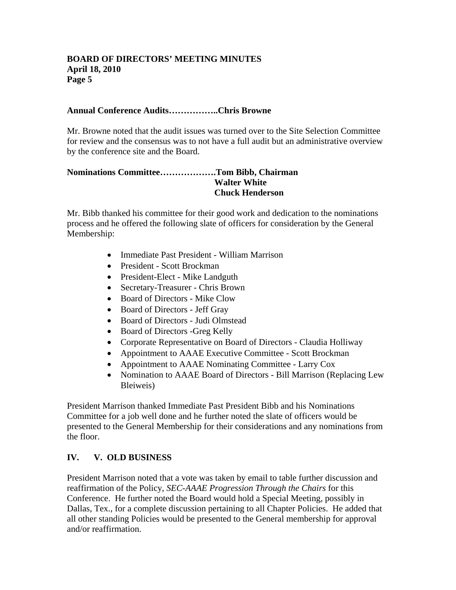### **Annual Conference Audits……………..Chris Browne**

Mr. Browne noted that the audit issues was turned over to the Site Selection Committee for review and the consensus was to not have a full audit but an administrative overview by the conference site and the Board.

### **Nominations Committee……………….Tom Bibb, Chairman Walter White Chuck Henderson**

Mr. Bibb thanked his committee for their good work and dedication to the nominations process and he offered the following slate of officers for consideration by the General Membership:

- Immediate Past President William Marrison
- President Scott Brockman
- President-Elect Mike Landguth
- Secretary-Treasurer Chris Brown
- Board of Directors Mike Clow
- Board of Directors Jeff Gray
- Board of Directors Judi Olmstead
- Board of Directors -Greg Kelly
- Corporate Representative on Board of Directors Claudia Holliway
- Appointment to AAAE Executive Committee Scott Brockman
- Appointment to AAAE Nominating Committee Larry Cox
- Nomination to AAAE Board of Directors Bill Marrison (Replacing Lew Bleiweis)

President Marrison thanked Immediate Past President Bibb and his Nominations Committee for a job well done and he further noted the slate of officers would be presented to the General Membership for their considerations and any nominations from the floor.

## **IV. V. OLD BUSINESS**

President Marrison noted that a vote was taken by email to table further discussion and reaffirmation of the Policy, *SEC-AAAE Progression Through the Chairs* for this Conference. He further noted the Board would hold a Special Meeting, possibly in Dallas, Tex., for a complete discussion pertaining to all Chapter Policies. He added that all other standing Policies would be presented to the General membership for approval and/or reaffirmation.